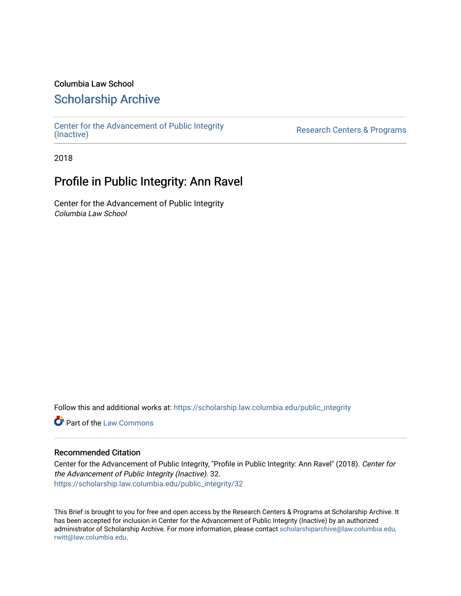#### Columbia Law School

### [Scholarship Archive](https://scholarship.law.columbia.edu/)

[Center for the Advancement of Public Integrity](https://scholarship.law.columbia.edu/public_integrity)<br>(Inactive)

Research Centers & Programs

2018

## Profile in Public Integrity: Ann Ravel

Center for the Advancement of Public Integrity Columbia Law School

Follow this and additional works at: [https://scholarship.law.columbia.edu/public\\_integrity](https://scholarship.law.columbia.edu/public_integrity?utm_source=scholarship.law.columbia.edu%2Fpublic_integrity%2F32&utm_medium=PDF&utm_campaign=PDFCoverPages)

**Part of the [Law Commons](http://network.bepress.com/hgg/discipline/578?utm_source=scholarship.law.columbia.edu%2Fpublic_integrity%2F32&utm_medium=PDF&utm_campaign=PDFCoverPages)** 

#### Recommended Citation

Center for the Advancement of Public Integrity, "Profile in Public Integrity: Ann Ravel" (2018). Center for the Advancement of Public Integrity (Inactive). 32. [https://scholarship.law.columbia.edu/public\\_integrity/32](https://scholarship.law.columbia.edu/public_integrity/32?utm_source=scholarship.law.columbia.edu%2Fpublic_integrity%2F32&utm_medium=PDF&utm_campaign=PDFCoverPages) 

This Brief is brought to you for free and open access by the Research Centers & Programs at Scholarship Archive. It has been accepted for inclusion in Center for the Advancement of Public Integrity (Inactive) by an authorized administrator of Scholarship Archive. For more information, please contact [scholarshiparchive@law.columbia.edu,](mailto:scholarshiparchive@law.columbia.edu,%20rwitt@law.columbia.edu)  [rwitt@law.columbia.edu.](mailto:scholarshiparchive@law.columbia.edu,%20rwitt@law.columbia.edu)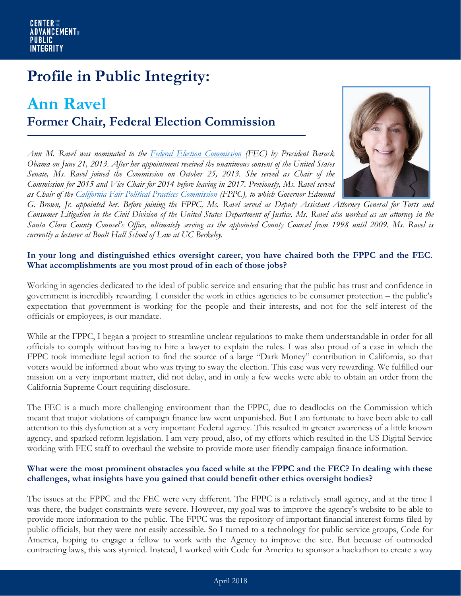# **Profile in Public Integrity:**

## **Ann Ravel Former Chair, Federal Election Commission**

*Ann M. Ravel was nominated to the [Federal Election Commission](https://www.fec.gov/) (FEC) by President Barack Obama on June 21, 2013. After her appointment received the unanimous consent of the United States Senate, Ms. Ravel joined the Commission on October 25, 2013. She served as Chair of the Commission for 2015 and Vice Chair for 2014 before leaving in 2017. Previously, Ms. Ravel served as Chair of the [California Fair Political Practices Commission](http://www.fppc.ca.gov/) (FPPC), to which Governor Edmund* 



*G. Brown, Jr. appointed her. Before joining the FPPC, Ms. Ravel served as Deputy Assistant Attorney General for Torts and Consumer Litigation in the Civil Division of the United States Department of Justice. Ms. Ravel also worked as an attorney in the Santa Clara County Counsel's Office, ultimately serving as the appointed County Counsel from 1998 until 2009. Ms. Ravel is currently a lecturer at Boalt Hall School of Law at UC Berkeley.* 

#### **In your long and distinguished ethics oversight career, you have chaired both the FPPC and the FEC. What accomplishments are you most proud of in each of those jobs?**

Working in agencies dedicated to the ideal of public service and ensuring that the public has trust and confidence in government is incredibly rewarding. I consider the work in ethics agencies to be consumer protection – the public's expectation that government is working for the people and their interests, and not for the self-interest of the officials or employees, is our mandate.

While at the FPPC, I began a project to streamline unclear regulations to make them understandable in order for all officials to comply without having to hire a lawyer to explain the rules. I was also proud of a case in which the FPPC took immediate legal action to find the source of a large "Dark Money" contribution in California, so that voters would be informed about who was trying to sway the election. This case was very rewarding. We fulfilled our mission on a very important matter, did not delay, and in only a few weeks were able to obtain an order from the California Supreme Court requiring disclosure.

The FEC is a much more challenging environment than the FPPC, due to deadlocks on the Commission which meant that major violations of campaign finance law went unpunished. But I am fortunate to have been able to call attention to this dysfunction at a very important Federal agency. This resulted in greater awareness of a little known agency, and sparked reform legislation. I am very proud, also, of my efforts which resulted in the US Digital Service working with FEC staff to overhaul the website to provide more user friendly campaign finance information.

#### **What were the most prominent obstacles you faced while at the FPPC and the FEC? In dealing with these challenges, what insights have you gained that could benefit other ethics oversight bodies?**

The issues at the FPPC and the FEC were very different. The FPPC is a relatively small agency, and at the time I was there, the budget constraints were severe. However, my goal was to improve the agency's website to be able to provide more information to the public. The FPPC was the repository of important financial interest forms filed by public officials, but they were not easily accessible. So I turned to a technology for public service groups, Code for America, hoping to engage a fellow to work with the Agency to improve the site. But because of outmoded contracting laws, this was stymied. Instead, I worked with Code for America to sponsor a hackathon to create a way